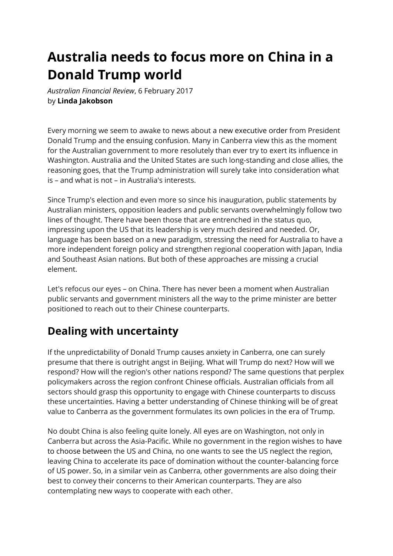## **Australia needs to focus more on China in a Donald Trump world**

*Australian Financial Review*, 6 February 2017 by **Linda Jakobson**

Every morning we seem to awake to news about a new executive order from President Donald Trump and the ensuing confusion. Many in Canberra view this as the moment for the Australian government to more resolutely than ever try to exert its influence in Washington. Australia and the United States are such long-standing and close allies, the reasoning goes, that the Trump administration will surely take into consideration what is – and what is not – in Australia's interests.

Since Trump's election and even more so since his inauguration, public statements by Australian ministers, opposition leaders and public servants overwhelmingly follow two lines of thought. There have been those that are entrenched in the status quo, impressing upon the US that its leadership is very much desired and needed. Or, language has been based on a new paradigm, stressing the need for Australia to have a more independent foreign policy and strengthen regional cooperation with Japan, India and Southeast Asian nations. But both of these approaches are missing a crucial element.

Let's refocus our eyes – on China. There has never been a moment when Australian public servants and government ministers all the way to the prime minister are better positioned to reach out to their Chinese counterparts.

## **Dealing with uncertainty**

If the unpredictability of Donald Trump causes anxiety in Canberra, one can surely presume that there is outright angst in Beijing. What will Trump do next? How will we respond? How will the region's other nations respond? The same questions that perplex policymakers across the region confront Chinese officials. Australian officials from all sectors should grasp this opportunity to engage with Chinese counterparts to discuss these uncertainties. Having a better understanding of Chinese thinking will be of great value to Canberra as the government formulates its own policies in the era of Trump.

No doubt China is also feeling quite lonely. All eyes are on Washington, not only in Canberra but across the Asia-Pacific. While no government in the region wishes to have to choose between the US and China, no one wants to see the US neglect the region, leaving China to accelerate its pace of domination without the counter-balancing force of US power. So, in a similar vein as Canberra, other governments are also doing their best to convey their concerns to their American counterparts. They are also contemplating new ways to cooperate with each other.